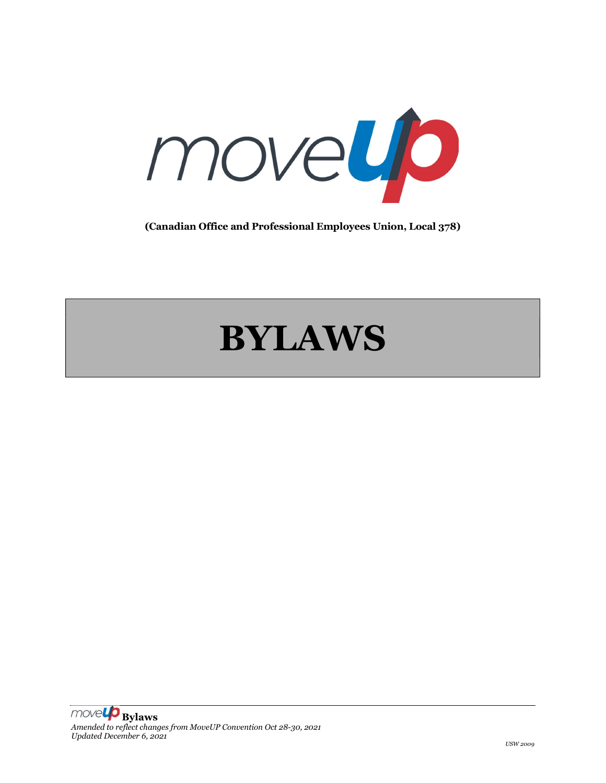

(Canadian Office and Professional Employees Union, Local 378)

# BYLAWS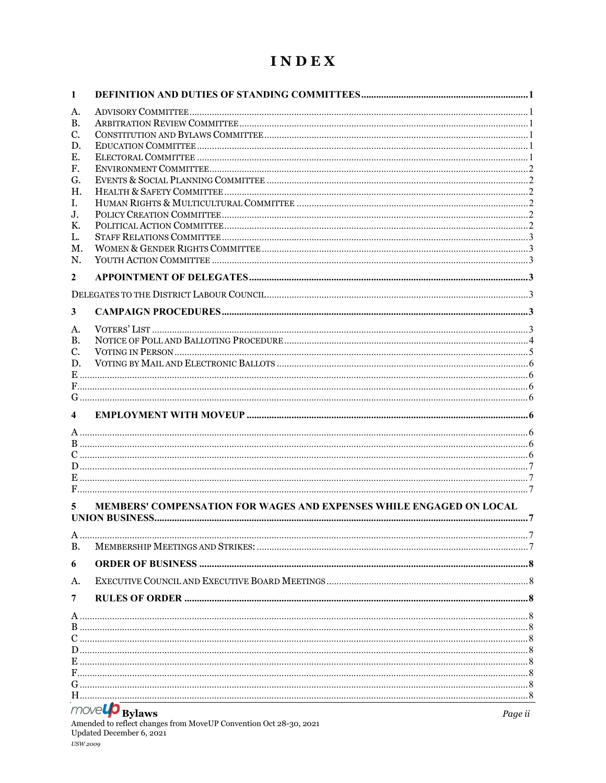# INDEX

| А.<br>В.<br>C.<br>D.<br>Е.<br>F.<br>G.<br>Η.<br>I.<br>J.<br>К.<br>L.<br>М.<br>N.<br>$\overline{2}$<br>3<br>A.<br>В.<br>C.<br>D.<br>4<br>MEMBERS' COMPENSATION FOR WAGES AND EXPENSES WHILE ENGAGED ON LOCAL<br>5<br>B.<br>6<br>A.<br>7<br>$m \sim \mathbb{Z}$ | 1 |  |
|---------------------------------------------------------------------------------------------------------------------------------------------------------------------------------------------------------------------------------------------------------------|---|--|
|                                                                                                                                                                                                                                                               |   |  |
|                                                                                                                                                                                                                                                               |   |  |
|                                                                                                                                                                                                                                                               |   |  |
|                                                                                                                                                                                                                                                               |   |  |
|                                                                                                                                                                                                                                                               |   |  |
|                                                                                                                                                                                                                                                               |   |  |
|                                                                                                                                                                                                                                                               |   |  |
|                                                                                                                                                                                                                                                               |   |  |
|                                                                                                                                                                                                                                                               |   |  |
|                                                                                                                                                                                                                                                               |   |  |
|                                                                                                                                                                                                                                                               |   |  |
|                                                                                                                                                                                                                                                               |   |  |
|                                                                                                                                                                                                                                                               |   |  |
|                                                                                                                                                                                                                                                               |   |  |
|                                                                                                                                                                                                                                                               |   |  |
|                                                                                                                                                                                                                                                               |   |  |
|                                                                                                                                                                                                                                                               |   |  |
|                                                                                                                                                                                                                                                               |   |  |
|                                                                                                                                                                                                                                                               |   |  |
|                                                                                                                                                                                                                                                               |   |  |
|                                                                                                                                                                                                                                                               |   |  |
|                                                                                                                                                                                                                                                               |   |  |
|                                                                                                                                                                                                                                                               |   |  |
|                                                                                                                                                                                                                                                               |   |  |
|                                                                                                                                                                                                                                                               |   |  |
|                                                                                                                                                                                                                                                               |   |  |
|                                                                                                                                                                                                                                                               |   |  |
|                                                                                                                                                                                                                                                               |   |  |
|                                                                                                                                                                                                                                                               |   |  |
|                                                                                                                                                                                                                                                               |   |  |
|                                                                                                                                                                                                                                                               |   |  |
|                                                                                                                                                                                                                                                               |   |  |
|                                                                                                                                                                                                                                                               |   |  |
|                                                                                                                                                                                                                                                               |   |  |
|                                                                                                                                                                                                                                                               |   |  |
|                                                                                                                                                                                                                                                               |   |  |
|                                                                                                                                                                                                                                                               |   |  |
|                                                                                                                                                                                                                                                               |   |  |
|                                                                                                                                                                                                                                                               |   |  |
|                                                                                                                                                                                                                                                               |   |  |
|                                                                                                                                                                                                                                                               |   |  |
|                                                                                                                                                                                                                                                               |   |  |
|                                                                                                                                                                                                                                                               |   |  |
|                                                                                                                                                                                                                                                               |   |  |
|                                                                                                                                                                                                                                                               |   |  |
|                                                                                                                                                                                                                                                               |   |  |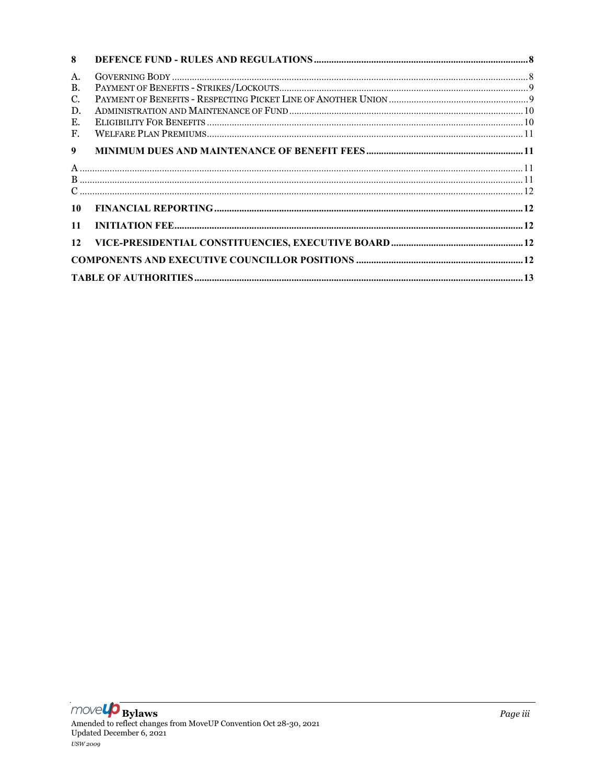| 8         |  |
|-----------|--|
| A.        |  |
| <b>B.</b> |  |
| C.        |  |
| D.        |  |
| Е.        |  |
| F.        |  |
| 9         |  |
|           |  |
|           |  |
|           |  |
| 10        |  |
| 11        |  |
| 12        |  |
|           |  |
|           |  |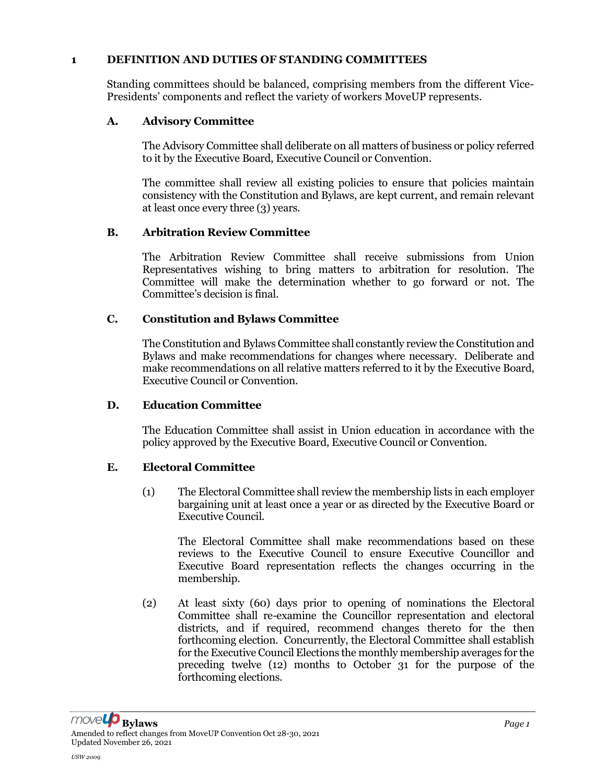#### 1 DEFINITION AND DUTIES OF STANDING COMMITTEES

Standing committees should be balanced, comprising members from the different Vice-Presidents' components and reflect the variety of workers MoveUP represents.

# A. Advisory Committee

The Advisory Committee shall deliberate on all matters of business or policy referred to it by the Executive Board, Executive Council or Convention.

The committee shall review all existing policies to ensure that policies maintain consistency with the Constitution and Bylaws, are kept current, and remain relevant at least once every three (3) years.

### B. Arbitration Review Committee

The Arbitration Review Committee shall receive submissions from Union Representatives wishing to bring matters to arbitration for resolution. The Committee will make the determination whether to go forward or not. The Committee's decision is final.

### C. Constitution and Bylaws Committee

The Constitution and Bylaws Committee shall constantly review the Constitution and Bylaws and make recommendations for changes where necessary. Deliberate and make recommendations on all relative matters referred to it by the Executive Board, Executive Council or Convention.

#### D. Education Committee

The Education Committee shall assist in Union education in accordance with the policy approved by the Executive Board, Executive Council or Convention.

#### E. Electoral Committee

(1) The Electoral Committee shall review the membership lists in each employer bargaining unit at least once a year or as directed by the Executive Board or Executive Council.

The Electoral Committee shall make recommendations based on these reviews to the Executive Council to ensure Executive Councillor and Executive Board representation reflects the changes occurring in the membership.

(2) At least sixty (60) days prior to opening of nominations the Electoral Committee shall re-examine the Councillor representation and electoral districts, and if required, recommend changes thereto for the then forthcoming election. Concurrently, the Electoral Committee shall establish for the Executive Council Elections the monthly membership averages for the preceding twelve (12) months to October 31 for the purpose of the forthcoming elections.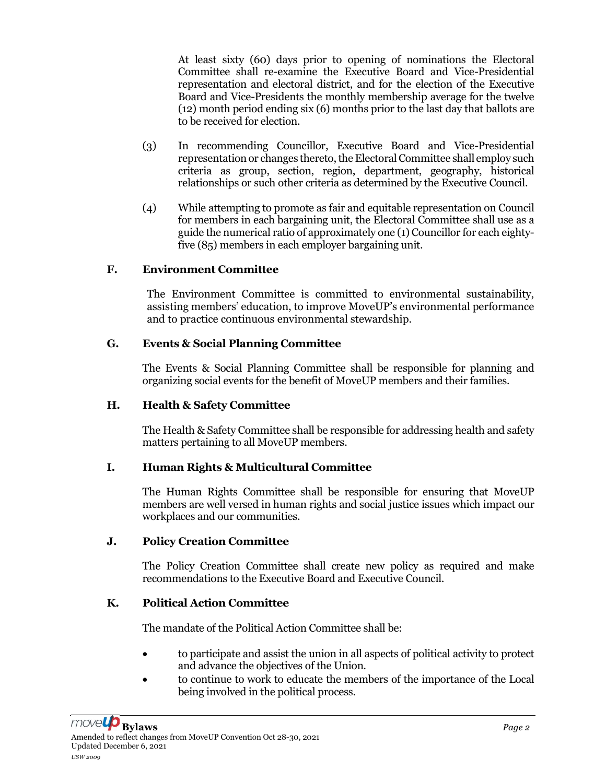At least sixty (60) days prior to opening of nominations the Electoral Committee shall re-examine the Executive Board and Vice-Presidential representation and electoral district, and for the election of the Executive Board and Vice-Presidents the monthly membership average for the twelve (12) month period ending six (6) months prior to the last day that ballots are to be received for election.

- (3) In recommending Councillor, Executive Board and Vice-Presidential representation or changes thereto, the Electoral Committee shall employ such criteria as group, section, region, department, geography, historical relationships or such other criteria as determined by the Executive Council.
- (4) While attempting to promote as fair and equitable representation on Council for members in each bargaining unit, the Electoral Committee shall use as a guide the numerical ratio of approximately one (1) Councillor for each eightyfive (85) members in each employer bargaining unit.

### F. Environment Committee

The Environment Committee is committed to environmental sustainability, assisting members' education, to improve MoveUP's environmental performance and to practice continuous environmental stewardship.

### G. Events & Social Planning Committee

The Events & Social Planning Committee shall be responsible for planning and organizing social events for the benefit of MoveUP members and their families.

#### H. Health & Safety Committee

The Health & Safety Committee shall be responsible for addressing health and safety matters pertaining to all MoveUP members.

# I. Human Rights & Multicultural Committee

The Human Rights Committee shall be responsible for ensuring that MoveUP members are well versed in human rights and social justice issues which impact our workplaces and our communities.

#### J. Policy Creation Committee

The Policy Creation Committee shall create new policy as required and make recommendations to the Executive Board and Executive Council.

# K. Political Action Committee

The mandate of the Political Action Committee shall be:

- to participate and assist the union in all aspects of political activity to protect and advance the objectives of the Union.
- to continue to work to educate the members of the importance of the Local being involved in the political process.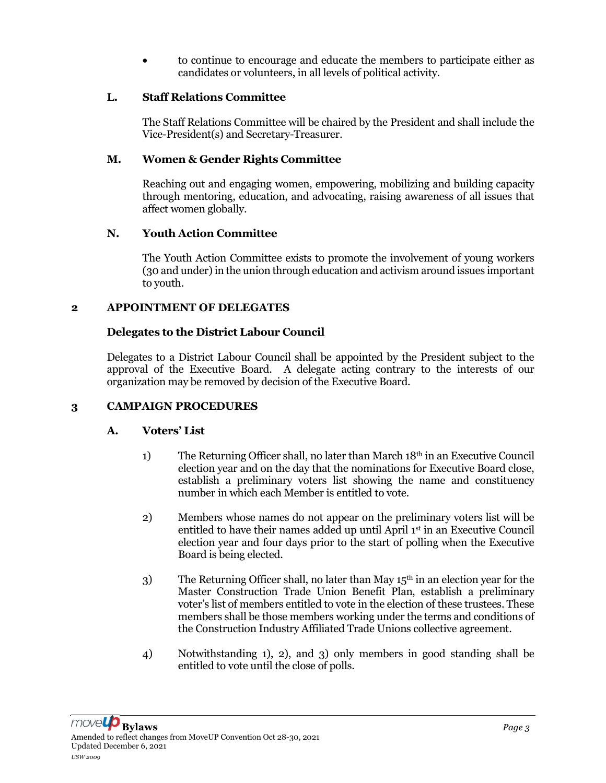to continue to encourage and educate the members to participate either as candidates or volunteers, in all levels of political activity.

### L. Staff Relations Committee

The Staff Relations Committee will be chaired by the President and shall include the Vice-President(s) and Secretary-Treasurer.

### M. Women & Gender Rights Committee

Reaching out and engaging women, empowering, mobilizing and building capacity through mentoring, education, and advocating, raising awareness of all issues that affect women globally.

### N. Youth Action Committee

The Youth Action Committee exists to promote the involvement of young workers (30 and under) in the union through education and activism around issues important to youth.

### 2 APPOINTMENT OF DELEGATES

# Delegates to the District Labour Council

Delegates to a District Labour Council shall be appointed by the President subject to the approval of the Executive Board. A delegate acting contrary to the interests of our organization may be removed by decision of the Executive Board.

# 3 CAMPAIGN PROCEDURES

# A. Voters' List

- 1) The Returning Officer shall, no later than March 18th in an Executive Council election year and on the day that the nominations for Executive Board close, establish a preliminary voters list showing the name and constituency number in which each Member is entitled to vote.
- 2) Members whose names do not appear on the preliminary voters list will be entitled to have their names added up until April 1<sup>st</sup> in an Executive Council election year and four days prior to the start of polling when the Executive Board is being elected.
- 3) The Returning Officer shall, no later than May  $15<sup>th</sup>$  in an election year for the Master Construction Trade Union Benefit Plan, establish a preliminary voter's list of members entitled to vote in the election of these trustees. These members shall be those members working under the terms and conditions of the Construction Industry Affiliated Trade Unions collective agreement.
- 4) Notwithstanding 1), 2), and 3) only members in good standing shall be entitled to vote until the close of polls.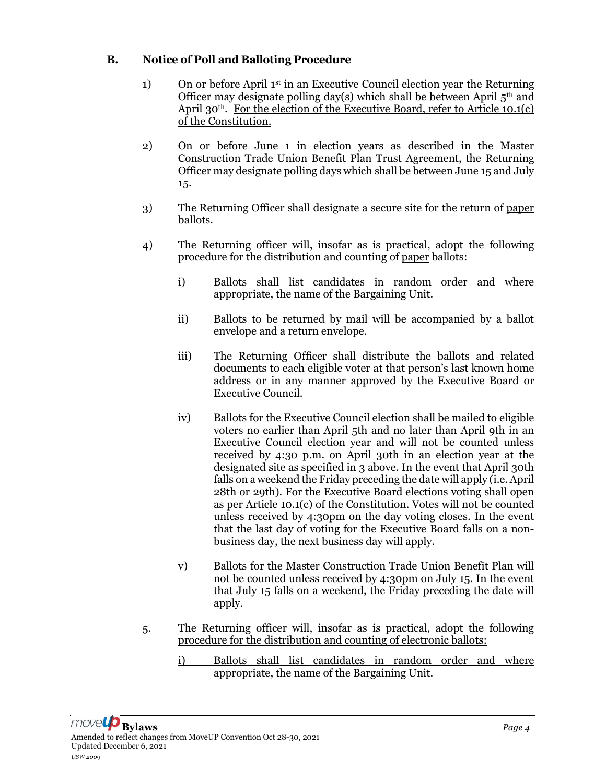# B. Notice of Poll and Balloting Procedure

- 1) On or before April  $1<sup>st</sup>$  in an Executive Council election year the Returning Officer may designate polling day(s) which shall be between April  $5<sup>th</sup>$  and April 30<sup>th</sup>. For the election of the Executive Board, refer to Article 10.1(c) of the Constitution.
- 2) On or before June 1 in election years as described in the Master Construction Trade Union Benefit Plan Trust Agreement, the Returning Officer may designate polling days which shall be between June 15 and July 15.
- 3) The Returning Officer shall designate a secure site for the return of paper ballots.
- 4) The Returning officer will, insofar as is practical, adopt the following procedure for the distribution and counting of paper ballots:
	- i) Ballots shall list candidates in random order and where appropriate, the name of the Bargaining Unit.
	- ii) Ballots to be returned by mail will be accompanied by a ballot envelope and a return envelope.
	- iii) The Returning Officer shall distribute the ballots and related documents to each eligible voter at that person's last known home address or in any manner approved by the Executive Board or Executive Council.
	- iv) Ballots for the Executive Council election shall be mailed to eligible voters no earlier than April 5th and no later than April 9th in an Executive Council election year and will not be counted unless received by 4:30 p.m. on April 30th in an election year at the designated site as specified in 3 above. In the event that April 30th falls on a weekend the Friday preceding the date will apply (i.e. April 28th or 29th). For the Executive Board elections voting shall open as per Article 10.1(c) of the Constitution. Votes will not be counted unless received by 4:30pm on the day voting closes. In the event that the last day of voting for the Executive Board falls on a nonbusiness day, the next business day will apply.
	- v) Ballots for the Master Construction Trade Union Benefit Plan will not be counted unless received by 4:30pm on July 15. In the event that July 15 falls on a weekend, the Friday preceding the date will apply.
- 5. The Returning officer will, insofar as is practical, adopt the following procedure for the distribution and counting of electronic ballots:
	- i) Ballots shall list candidates in random order and where appropriate, the name of the Bargaining Unit.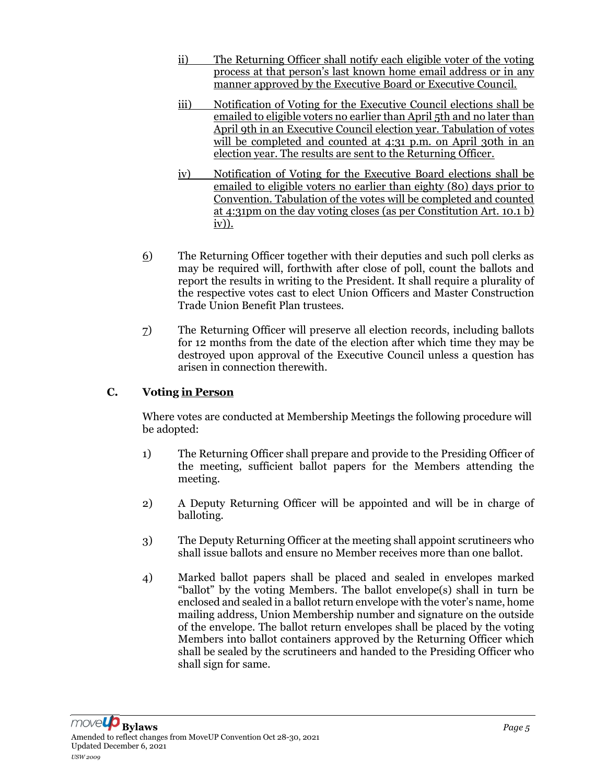- ii) The Returning Officer shall notify each eligible voter of the voting process at that person's last known home email address or in any manner approved by the Executive Board or Executive Council.
- iii) Notification of Voting for the Executive Council elections shall be emailed to eligible voters no earlier than April 5th and no later than April 9th in an Executive Council election year. Tabulation of votes will be completed and counted at 4:31 p.m. on April 30th in an election year. The results are sent to the Returning Officer.
- iv) Notification of Voting for the Executive Board elections shall be emailed to eligible voters no earlier than eighty (80) days prior to Convention. Tabulation of the votes will be completed and counted at 4:31pm on the day voting closes (as per Constitution Art. 10.1 b) iv)).
- 6) The Returning Officer together with their deputies and such poll clerks as may be required will, forthwith after close of poll, count the ballots and report the results in writing to the President. It shall require a plurality of the respective votes cast to elect Union Officers and Master Construction Trade Union Benefit Plan trustees.
- 7) The Returning Officer will preserve all election records, including ballots for 12 months from the date of the election after which time they may be destroyed upon approval of the Executive Council unless a question has arisen in connection therewith.

# C. Voting in Person

Where votes are conducted at Membership Meetings the following procedure will be adopted:

- 1) The Returning Officer shall prepare and provide to the Presiding Officer of the meeting, sufficient ballot papers for the Members attending the meeting.
- 2) A Deputy Returning Officer will be appointed and will be in charge of balloting.
- 3) The Deputy Returning Officer at the meeting shall appoint scrutineers who shall issue ballots and ensure no Member receives more than one ballot.
- 4) Marked ballot papers shall be placed and sealed in envelopes marked "ballot" by the voting Members. The ballot envelope(s) shall in turn be enclosed and sealed in a ballot return envelope with the voter's name, home mailing address, Union Membership number and signature on the outside of the envelope. The ballot return envelopes shall be placed by the voting Members into ballot containers approved by the Returning Officer which shall be sealed by the scrutineers and handed to the Presiding Officer who shall sign for same.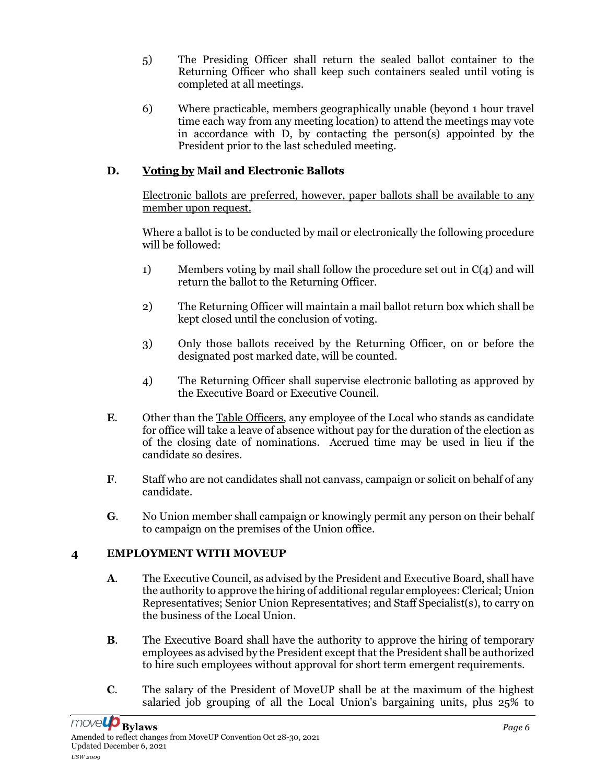- 5) The Presiding Officer shall return the sealed ballot container to the Returning Officer who shall keep such containers sealed until voting is completed at all meetings.
- 6) Where practicable, members geographically unable (beyond 1 hour travel time each way from any meeting location) to attend the meetings may vote in accordance with D, by contacting the person(s) appointed by the President prior to the last scheduled meeting.

# D. Voting by Mail and Electronic Ballots

Electronic ballots are preferred, however, paper ballots shall be available to any member upon request.

Where a ballot is to be conducted by mail or electronically the following procedure will be followed:

- 1) Members voting by mail shall follow the procedure set out in  $C(4)$  and will return the ballot to the Returning Officer.
- 2) The Returning Officer will maintain a mail ballot return box which shall be kept closed until the conclusion of voting.
- 3) Only those ballots received by the Returning Officer, on or before the designated post marked date, will be counted.
- 4) The Returning Officer shall supervise electronic balloting as approved by the Executive Board or Executive Council.
- E. Other than the Table Officers, any employee of the Local who stands as candidate for office will take a leave of absence without pay for the duration of the election as of the closing date of nominations. Accrued time may be used in lieu if the candidate so desires.
- F. Staff who are not candidates shall not canvass, campaign or solicit on behalf of any candidate.
- G. No Union member shall campaign or knowingly permit any person on their behalf to campaign on the premises of the Union office.

# 4 EMPLOYMENT WITH MOVEUP

- A. The Executive Council, as advised by the President and Executive Board, shall have the authority to approve the hiring of additional regular employees: Clerical; Union Representatives; Senior Union Representatives; and Staff Specialist(s), to carry on the business of the Local Union.
- B. The Executive Board shall have the authority to approve the hiring of temporary employees as advised by the President except that the President shall be authorized to hire such employees without approval for short term emergent requirements.
- C. The salary of the President of MoveUP shall be at the maximum of the highest salaried job grouping of all the Local Union's bargaining units, plus 25% to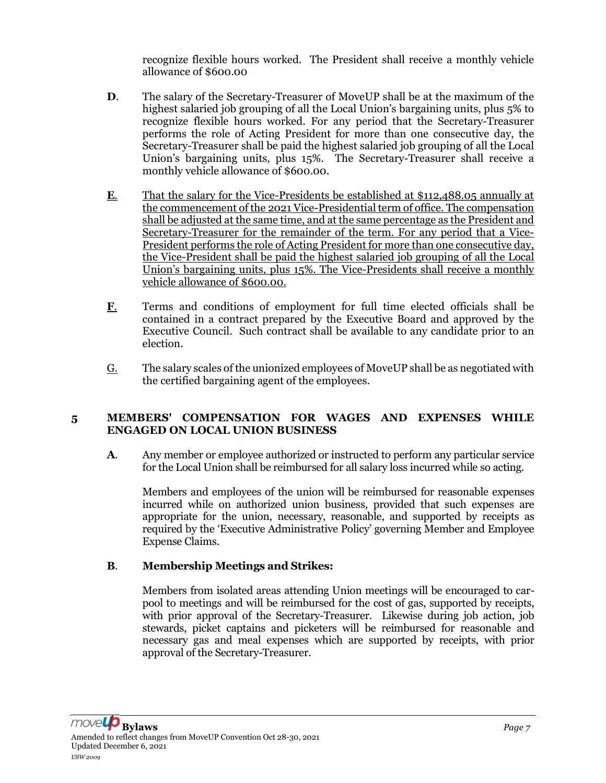recognize flexible hours worked. The President shall receive a monthly vehicle allowance of \$600.00

- D. The salary of the Secretary-Treasurer of MoveUP shall be at the maximum of the highest salaried job grouping of all the Local Union's bargaining units, plus 5% to recognize flexible hours worked. For any period that the Secretary-Treasurer performs the role of Acting President for more than one consecutive day, the Secretary-Treasurer shall be paid the highest salaried job grouping of all the Local Union's bargaining units, plus 15%. The Secretary-Treasurer shall receive a monthly vehicle allowance of \$600.00.
- E. That the salary for the Vice-Presidents be established at \$112,488.05 annually at the commencement of the 2021 Vice-Presidential term of office. The compensation shall be adjusted at the same time, and at the same percentage as the President and Secretary-Treasurer for the remainder of the term. For any period that a Vice-President performs the role of Acting President for more than one consecutive day, the Vice-President shall be paid the highest salaried job grouping of all the Local Union's bargaining units, plus 15%. The Vice-Presidents shall receive a monthly vehicle allowance of \$600.00.
- F. Terms and conditions of employment for full time elected officials shall be contained in a contract prepared by the Executive Board and approved by the Executive Council. Such contract shall be available to any candidate prior to an election.
- $G<sub>i</sub>$  The salary scales of the unionized employees of MoveUP shall be as negotiated with the certified bargaining agent of the employees.

#### 5 MEMBERS' COMPENSATION FOR WAGES AND EXPENSES WHILE ENGAGED ON LOCAL UNION BUSINESS

A. Any member or employee authorized or instructed to perform any particular service for the Local Union shall be reimbursed for all salary loss incurred while so acting.

Members and employees of the union will be reimbursed for reasonable expenses incurred while on authorized union business, provided that such expenses are appropriate for the union, necessary, reasonable, and supported by receipts as required by the 'Executive Administrative Policy' governing Member and Employee Expense Claims.

# B. Membership Meetings and Strikes:

Members from isolated areas attending Union meetings will be encouraged to carpool to meetings and will be reimbursed for the cost of gas, supported by receipts, with prior approval of the Secretary-Treasurer. Likewise during job action, job stewards, picket captains and picketers will be reimbursed for reasonable and necessary gas and meal expenses which are supported by receipts, with prior approval of the Secretary-Treasurer.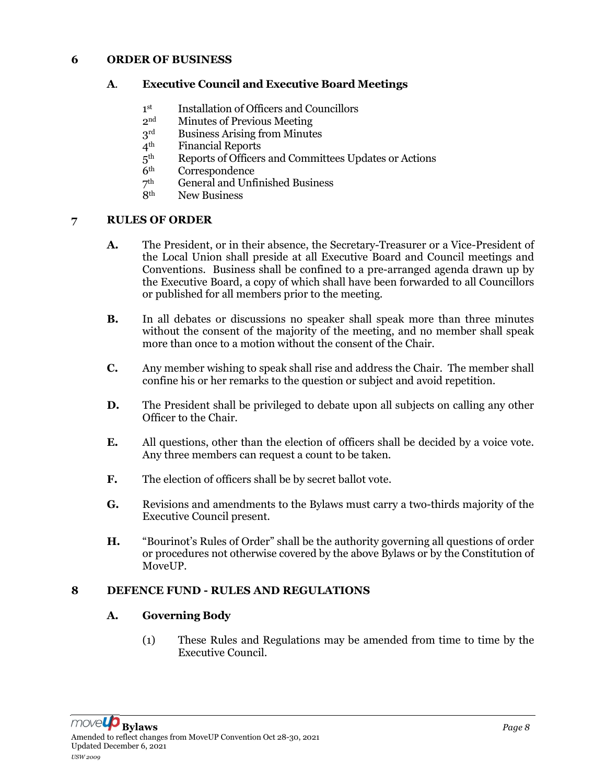#### 6 ORDER OF BUSINESS

#### A. Executive Council and Executive Board Meetings

- $1<sup>st</sup>$ st Installation of Officers and Councillors
- 2nd Minutes of Previous Meeting
- $3<sup>rd</sup>$  Business Arising from Minutes  $4<sup>th</sup>$  Financial Reports
- **Financial Reports**
- $5<sup>th</sup>$ <br>6<sup>th</sup> Reports of Officers and Committees Updates or Actions
- Correspondence
- $\frac{7^{\text{th}}}{8^{\text{th}}}$ General and Unfinished Business
- New Business

#### 7 RULES OF ORDER

- A. The President, or in their absence, the Secretary-Treasurer or a Vice-President of the Local Union shall preside at all Executive Board and Council meetings and Conventions. Business shall be confined to a pre-arranged agenda drawn up by the Executive Board, a copy of which shall have been forwarded to all Councillors or published for all members prior to the meeting.
- B. In all debates or discussions no speaker shall speak more than three minutes without the consent of the majority of the meeting, and no member shall speak more than once to a motion without the consent of the Chair.
- C. Any member wishing to speak shall rise and address the Chair. The member shall confine his or her remarks to the question or subject and avoid repetition.
- D. The President shall be privileged to debate upon all subjects on calling any other Officer to the Chair.
- E. All questions, other than the election of officers shall be decided by a voice vote. Any three members can request a count to be taken.
- F. The election of officers shall be by secret ballot vote.
- G. Revisions and amendments to the Bylaws must carry a two-thirds majority of the Executive Council present.
- H. "Bourinot's Rules of Order" shall be the authority governing all questions of order or procedures not otherwise covered by the above Bylaws or by the Constitution of MoveUP.

#### 8 DEFENCE FUND - RULES AND REGULATIONS

#### A. Governing Body

(1) These Rules and Regulations may be amended from time to time by the Executive Council.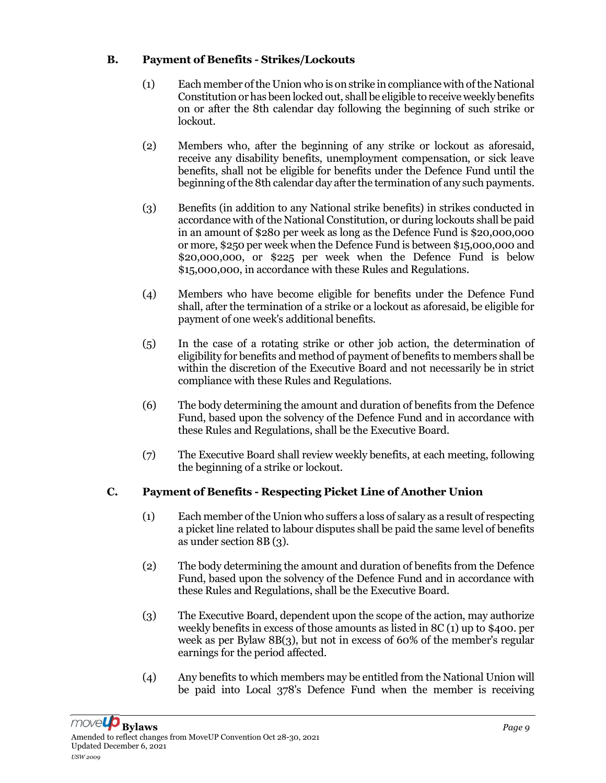# B. Payment of Benefits - Strikes/Lockouts

- (1) Each member of the Union who is on strike in compliance with of the National Constitution or has been locked out, shall be eligible to receive weekly benefits on or after the 8th calendar day following the beginning of such strike or lockout.
- (2) Members who, after the beginning of any strike or lockout as aforesaid, receive any disability benefits, unemployment compensation, or sick leave benefits, shall not be eligible for benefits under the Defence Fund until the beginning of the 8th calendar day after the termination of any such payments.
- (3) Benefits (in addition to any National strike benefits) in strikes conducted in accordance with of the National Constitution, or during lockouts shall be paid in an amount of \$280 per week as long as the Defence Fund is \$20,000,000 or more, \$250 per week when the Defence Fund is between \$15,000,000 and \$20,000,000, or \$225 per week when the Defence Fund is below \$15,000,000, in accordance with these Rules and Regulations.
- (4) Members who have become eligible for benefits under the Defence Fund shall, after the termination of a strike or a lockout as aforesaid, be eligible for payment of one week's additional benefits.
- (5) In the case of a rotating strike or other job action, the determination of eligibility for benefits and method of payment of benefits to members shall be within the discretion of the Executive Board and not necessarily be in strict compliance with these Rules and Regulations.
- (6) The body determining the amount and duration of benefits from the Defence Fund, based upon the solvency of the Defence Fund and in accordance with these Rules and Regulations, shall be the Executive Board.
- (7) The Executive Board shall review weekly benefits, at each meeting, following the beginning of a strike or lockout.

# C. Payment of Benefits - Respecting Picket Line of Another Union

- (1) Each member of the Union who suffers a loss of salary as a result of respecting a picket line related to labour disputes shall be paid the same level of benefits as under section 8B (3).
- (2) The body determining the amount and duration of benefits from the Defence Fund, based upon the solvency of the Defence Fund and in accordance with these Rules and Regulations, shall be the Executive Board.
- (3) The Executive Board, dependent upon the scope of the action, may authorize weekly benefits in excess of those amounts as listed in 8C (1) up to \$400. per week as per Bylaw 8B(3), but not in excess of 60% of the member's regular earnings for the period affected.
- (4) Any benefits to which members may be entitled from the National Union will be paid into Local 378's Defence Fund when the member is receiving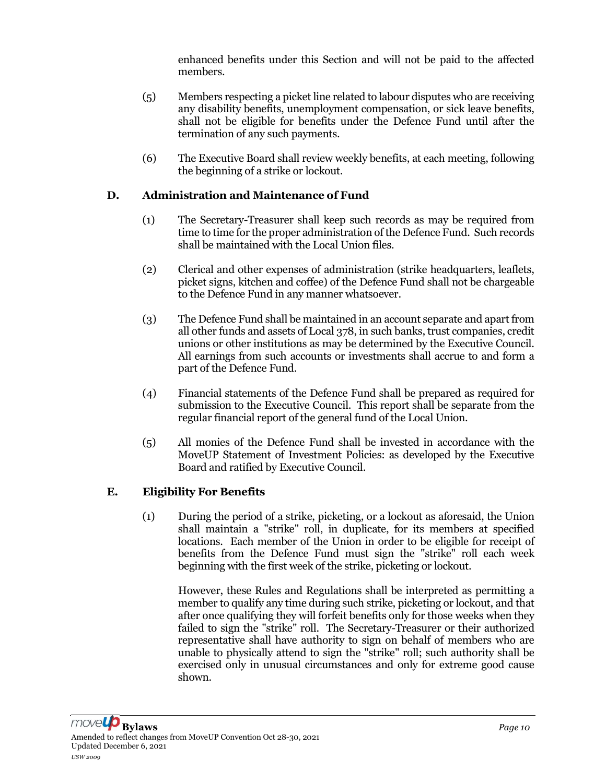enhanced benefits under this Section and will not be paid to the affected members.

- (5) Members respecting a picket line related to labour disputes who are receiving any disability benefits, unemployment compensation, or sick leave benefits, shall not be eligible for benefits under the Defence Fund until after the termination of any such payments.
- (6) The Executive Board shall review weekly benefits, at each meeting, following the beginning of a strike or lockout.

### D. Administration and Maintenance of Fund

- (1) The Secretary-Treasurer shall keep such records as may be required from time to time for the proper administration of the Defence Fund. Such records shall be maintained with the Local Union files.
- (2) Clerical and other expenses of administration (strike headquarters, leaflets, picket signs, kitchen and coffee) of the Defence Fund shall not be chargeable to the Defence Fund in any manner whatsoever.
- (3) The Defence Fund shall be maintained in an account separate and apart from all other funds and assets of Local 378, in such banks, trust companies, credit unions or other institutions as may be determined by the Executive Council. All earnings from such accounts or investments shall accrue to and form a part of the Defence Fund.
- (4) Financial statements of the Defence Fund shall be prepared as required for submission to the Executive Council. This report shall be separate from the regular financial report of the general fund of the Local Union.
- (5) All monies of the Defence Fund shall be invested in accordance with the MoveUP Statement of Investment Policies: as developed by the Executive Board and ratified by Executive Council.

#### E. Eligibility For Benefits

(1) During the period of a strike, picketing, or a lockout as aforesaid, the Union shall maintain a "strike" roll, in duplicate, for its members at specified locations. Each member of the Union in order to be eligible for receipt of benefits from the Defence Fund must sign the "strike" roll each week beginning with the first week of the strike, picketing or lockout.

However, these Rules and Regulations shall be interpreted as permitting a member to qualify any time during such strike, picketing or lockout, and that after once qualifying they will forfeit benefits only for those weeks when they failed to sign the "strike" roll. The Secretary-Treasurer or their authorized representative shall have authority to sign on behalf of members who are unable to physically attend to sign the "strike" roll; such authority shall be exercised only in unusual circumstances and only for extreme good cause shown.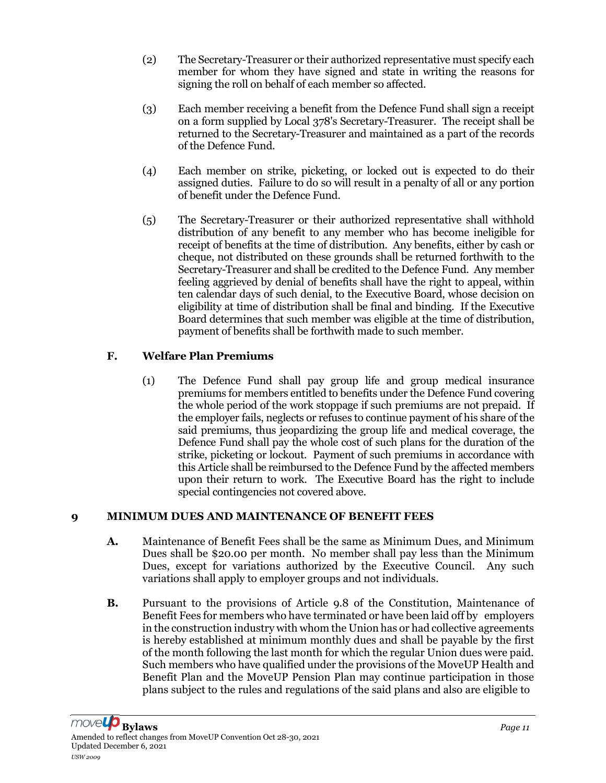- (2) The Secretary-Treasurer or their authorized representative must specify each member for whom they have signed and state in writing the reasons for signing the roll on behalf of each member so affected.
- (3) Each member receiving a benefit from the Defence Fund shall sign a receipt on a form supplied by Local 378's Secretary-Treasurer. The receipt shall be returned to the Secretary-Treasurer and maintained as a part of the records of the Defence Fund.
- (4) Each member on strike, picketing, or locked out is expected to do their assigned duties. Failure to do so will result in a penalty of all or any portion of benefit under the Defence Fund.
- (5) The Secretary-Treasurer or their authorized representative shall withhold distribution of any benefit to any member who has become ineligible for receipt of benefits at the time of distribution. Any benefits, either by cash or cheque, not distributed on these grounds shall be returned forthwith to the Secretary-Treasurer and shall be credited to the Defence Fund. Any member feeling aggrieved by denial of benefits shall have the right to appeal, within ten calendar days of such denial, to the Executive Board, whose decision on eligibility at time of distribution shall be final and binding. If the Executive Board determines that such member was eligible at the time of distribution, payment of benefits shall be forthwith made to such member.

# F. Welfare Plan Premiums

(1) The Defence Fund shall pay group life and group medical insurance premiums for members entitled to benefits under the Defence Fund covering the whole period of the work stoppage if such premiums are not prepaid. If the employer fails, neglects or refuses to continue payment of his share of the said premiums, thus jeopardizing the group life and medical coverage, the Defence Fund shall pay the whole cost of such plans for the duration of the strike, picketing or lockout. Payment of such premiums in accordance with this Article shall be reimbursed to the Defence Fund by the affected members upon their return to work. The Executive Board has the right to include special contingencies not covered above.

# 9 MINIMUM DUES AND MAINTENANCE OF BENEFIT FEES

- A. Maintenance of Benefit Fees shall be the same as Minimum Dues, and Minimum Dues shall be \$20.00 per month. No member shall pay less than the Minimum Dues, except for variations authorized by the Executive Council. Any such variations shall apply to employer groups and not individuals.
- B. Pursuant to the provisions of Article 9.8 of the Constitution, Maintenance of Benefit Fees for members who have terminated or have been laid off by employers in the construction industry with whom the Union has or had collective agreements is hereby established at minimum monthly dues and shall be payable by the first of the month following the last month for which the regular Union dues were paid. Such members who have qualified under the provisions of the MoveUP Health and Benefit Plan and the MoveUP Pension Plan may continue participation in those plans subject to the rules and regulations of the said plans and also are eligible to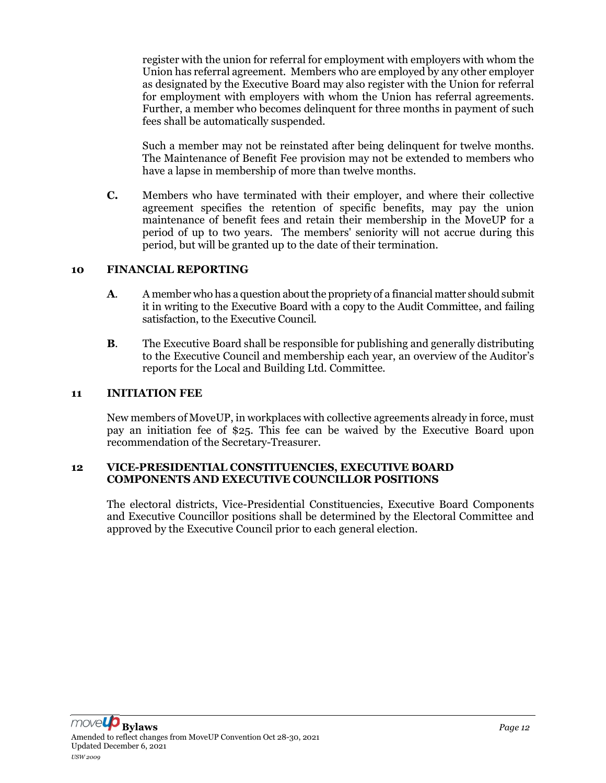register with the union for referral for employment with employers with whom the Union has referral agreement. Members who are employed by any other employer as designated by the Executive Board may also register with the Union for referral for employment with employers with whom the Union has referral agreements. Further, a member who becomes delinquent for three months in payment of such fees shall be automatically suspended.

Such a member may not be reinstated after being delinquent for twelve months. The Maintenance of Benefit Fee provision may not be extended to members who have a lapse in membership of more than twelve months.

C. Members who have terminated with their employer, and where their collective agreement specifies the retention of specific benefits, may pay the union maintenance of benefit fees and retain their membership in the MoveUP for a period of up to two years. The members' seniority will not accrue during this period, but will be granted up to the date of their termination.

#### 10 FINANCIAL REPORTING

- A. A member who has a question about the propriety of a financial matter should submit it in writing to the Executive Board with a copy to the Audit Committee, and failing satisfaction, to the Executive Council.
- B. The Executive Board shall be responsible for publishing and generally distributing to the Executive Council and membership each year, an overview of the Auditor's reports for the Local and Building Ltd. Committee.

#### 11 INITIATION FEE

New members of MoveUP, in workplaces with collective agreements already in force, must pay an initiation fee of \$25. This fee can be waived by the Executive Board upon recommendation of the Secretary-Treasurer.

#### 12 VICE-PRESIDENTIAL CONSTITUENCIES, EXECUTIVE BOARD COMPONENTS AND EXECUTIVE COUNCILLOR POSITIONS

The electoral districts, Vice-Presidential Constituencies, Executive Board Components and Executive Councillor positions shall be determined by the Electoral Committee and approved by the Executive Council prior to each general election.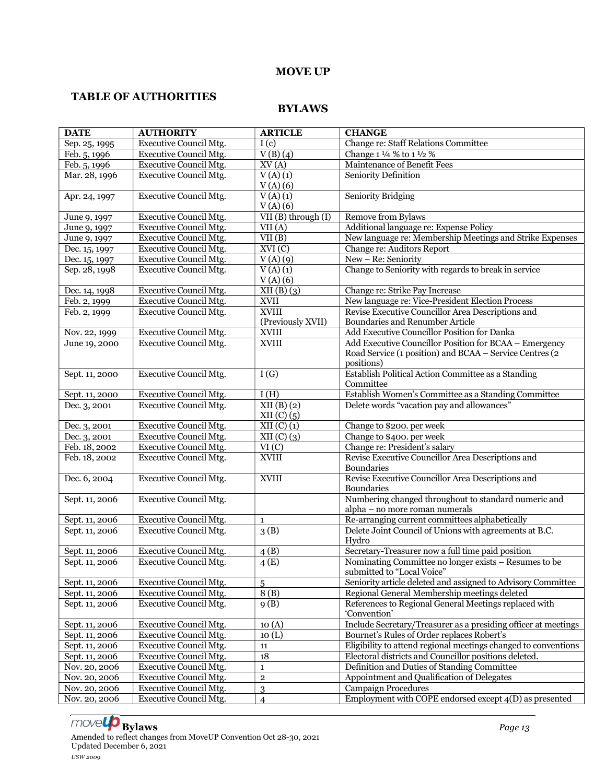#### MOVE UP

# TABLE OF AUTHORITIES

#### BYLAWS

| <b>DATE</b>                   | <b>AUTHORITY</b>                                               | <b>ARTICLE</b>      | <b>CHANGE</b>                                                                          |
|-------------------------------|----------------------------------------------------------------|---------------------|----------------------------------------------------------------------------------------|
| Sep. 25, 1995                 | <b>Executive Council Mtg.</b>                                  | I(c)                | Change re: Staff Relations Committee                                                   |
| Feb. 5, 1996                  | <b>Executive Council Mtg.</b>                                  | V(B)(4)             | Change 1 1/4 % to 1 1/2 %                                                              |
| Feb. 5, 1996                  | Executive Council Mtg.                                         | XV(A)               | Maintenance of Benefit Fees                                                            |
| Mar. 28, 1996                 | <b>Executive Council Mtg.</b>                                  | $V(A)$ (1)          | Seniority Definition                                                                   |
|                               |                                                                | V(A) (6)            |                                                                                        |
| Apr. 24, 1997                 | <b>Executive Council Mtg.</b>                                  | $V(A)$ (1)          | <b>Seniority Bridging</b>                                                              |
|                               |                                                                | V(A) (6)            |                                                                                        |
| June 9, 1997                  | Executive Council Mtg.                                         | VII (B) through (I) | Remove from Bylaws                                                                     |
| June 9, 1997                  | <b>Executive Council Mtg.</b>                                  | VII(A)              | Additional language re: Expense Policy                                                 |
| June 9, 1997<br>Dec. 15, 1997 | <b>Executive Council Mtg.</b><br>Executive Council Mtg.        | VII(B)<br>XVI(C)    | New language re: Membership Meetings and Strike Expenses<br>Change re: Auditors Report |
| Dec. 15, 1997                 | <b>Executive Council Mtg.</b>                                  | V(A)(9)             | New - Re: Seniority                                                                    |
| Sep. 28, 1998                 | Executive Council Mtg.                                         | $V(A)$ (1)          | Change to Seniority with regards to break in service                                   |
|                               |                                                                | V(A) (6)            |                                                                                        |
| Dec. 14, 1998                 | Executive Council Mtg.                                         | XII(B)(3)           | Change re: Strike Pay Increase                                                         |
| Feb. 2, 1999                  | <b>Executive Council Mtg.</b>                                  | XVII                | New language re: Vice-President Election Process                                       |
| Feb. 2, 1999                  | <b>Executive Council Mtg.</b>                                  | <b>XVIII</b>        | Revise Executive Councillor Area Descriptions and                                      |
|                               |                                                                | (Previously XVII)   | Boundaries and Renumber Article                                                        |
| Nov. 22, 1999                 | Executive Council Mtg.                                         | <b>XVIII</b>        | Add Executive Councillor Position for Danka                                            |
| June 19, 2000                 | Executive Council Mtg.                                         | XVIII               | Add Executive Councillor Position for BCAA - Emergency                                 |
|                               |                                                                |                     | Road Service (1 position) and BCAA - Service Centres (2                                |
|                               |                                                                |                     | positions)                                                                             |
| Sept. 11, 2000                | Executive Council Mtg.                                         | $\overline{I(G)}$   | Establish Political Action Committee as a Standing                                     |
|                               |                                                                |                     | Committee                                                                              |
| Sept. 11, 2000                | Executive Council Mtg.                                         | I(H)                | Establish Women's Committee as a Standing Committee                                    |
| Dec. 3, 2001                  | Executive Council Mtg.                                         | XII(B) (2)          | Delete words "vacation pay and allowances"                                             |
|                               |                                                                | $XII(C)$ (5)        |                                                                                        |
| Dec. 3, 2001                  | Executive Council Mtg.                                         | $XII(C)$ $(1)$      | Change to \$200. per week                                                              |
| Dec. 3, 2001<br>Feb. 18, 2002 | <b>Executive Council Mtg.</b><br><b>Executive Council Mtg.</b> | XII(C)(3)<br>VI(C)  | Change to \$400. per week<br>Change re: President's salary                             |
| Feb. 18, 2002                 | Executive Council Mtg.                                         | <b>XVIII</b>        | Revise Executive Councillor Area Descriptions and                                      |
|                               |                                                                |                     | Boundaries                                                                             |
| Dec. 6, 2004                  | Executive Council Mtg.                                         | <b>XVIII</b>        | Revise Executive Councillor Area Descriptions and                                      |
|                               |                                                                |                     | Boundaries                                                                             |
| Sept. 11, 2006                | <b>Executive Council Mtg.</b>                                  |                     | Numbering changed throughout to standard numeric and                                   |
|                               |                                                                |                     | alpha - no more roman numerals                                                         |
| Sept. 11, 2006                | Executive Council Mtg.                                         | $\mathbf{1}$        | Re-arranging current committees alphabetically                                         |
| Sept. 11, 2006                | <b>Executive Council Mtg.</b>                                  | 3(B)                | Delete Joint Council of Unions with agreements at B.C.                                 |
|                               |                                                                |                     | Hydro                                                                                  |
| Sept. 11, 2006                | Executive Council Mtg.                                         | 4(B)                | Secretary-Treasurer now a full time paid position                                      |
| Sept. 11, 2006                | <b>Executive Council Mtg.</b>                                  | 4(E)                | Nominating Committee no longer exists - Resumes to be                                  |
|                               |                                                                |                     | submitted to "Local Voice"                                                             |
| Sept. 11, 2006                | Executive Council Mtg.                                         | 5                   | Seniority article deleted and assigned to Advisory Committee                           |
| Sept. 11, 2006                | Executive Council Mtg.                                         | 8(B)                | Regional General Membership meetings deleted                                           |
| Sept. 11, 2006                | Executive Council Mtg.                                         | 9(B)                | References to Regional General Meetings replaced with<br>'Convention'                  |
| Sept. 11, 2006                | Executive Council Mtg.                                         | 10(A)               | Include Secretary/Treasurer as a presiding officer at meetings                         |
| Sept. 11, 2006                | Executive Council Mtg.                                         | 10(L)               | Bournet's Rules of Order replaces Robert's                                             |
| Sept. 11, 2006                | Executive Council Mtg.                                         | ${\bf 11}$          | Eligibility to attend regional meetings changed to conventions                         |
| Sept. 11, 2006                | Executive Council Mtg.                                         | 18                  | Electoral districts and Councillor positions deleted.                                  |
| Nov. 20, 2006                 | Executive Council Mtg.                                         | $\mathbf{1}$        | Definition and Duties of Standing Committee                                            |
| Nov. 20, 2006                 | <b>Executive Council Mtg.</b>                                  | $\overline{2}$      | Appointment and Qualification of Delegates                                             |
| Nov. 20, 2006                 | Executive Council Mtg.                                         | 3                   | <b>Campaign Procedures</b>                                                             |
| Nov. 20, 2006                 | Executive Council Mtg.                                         | $\overline{4}$      | Employment with COPE endorsed except 4(D) as presented                                 |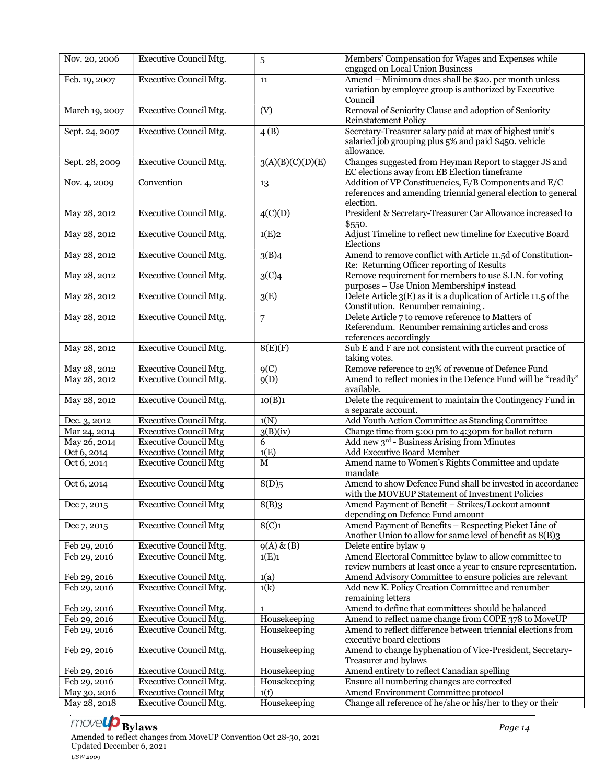| Nov. 20, 2006                | <b>Executive Council Mtg.</b>                                 | 5                 | Members' Compensation for Wages and Expenses while<br>engaged on Local Union Business               |
|------------------------------|---------------------------------------------------------------|-------------------|-----------------------------------------------------------------------------------------------------|
| Feb. 19, 2007                | <b>Executive Council Mtg.</b>                                 | 11                | Amend - Minimum dues shall be \$20. per month unless                                                |
|                              |                                                               |                   | variation by employee group is authorized by Executive                                              |
|                              |                                                               |                   | Council                                                                                             |
| March 19, 2007               | <b>Executive Council Mtg.</b>                                 | (V)               | Removal of Seniority Clause and adoption of Seniority                                               |
|                              |                                                               |                   | <b>Reinstatement Policy</b>                                                                         |
| Sept. 24, 2007               | <b>Executive Council Mtg.</b>                                 | $\overline{4(B)}$ | Secretary-Treasurer salary paid at max of highest unit's                                            |
|                              |                                                               |                   | salaried job grouping plus 5% and paid \$450. vehicle                                               |
|                              |                                                               |                   | allowance.                                                                                          |
| Sept. 28, 2009               | <b>Executive Council Mtg.</b>                                 | 3(A)(B)(C)(D)(E)  | Changes suggested from Heyman Report to stagger JS and                                              |
|                              |                                                               |                   | EC elections away from EB Election timeframe                                                        |
| Nov. 4, 2009                 | Convention                                                    | 13                | Addition of VP Constituencies, E/B Components and E/C                                               |
|                              |                                                               |                   | references and amending triennial general election to general                                       |
|                              |                                                               |                   | election.                                                                                           |
| May 28, 2012                 | <b>Executive Council Mtg.</b>                                 | 4(C)(D)           | President & Secretary-Treasurer Car Allowance increased to                                          |
| May 28, 2012                 | <b>Executive Council Mtg.</b>                                 | 1(E)2             | \$550.<br>Adjust Timeline to reflect new timeline for Executive Board                               |
|                              |                                                               |                   | Elections                                                                                           |
| May 28, 2012                 | <b>Executive Council Mtg.</b>                                 | 3(B)4             | Amend to remove conflict with Article 11.5d of Constitution-                                        |
|                              |                                                               |                   | Re: Returning Officer reporting of Results                                                          |
| May 28, 2012                 | <b>Executive Council Mtg.</b>                                 | 3(C)4             | Remove requirement for members to use S.I.N. for voting                                             |
|                              |                                                               |                   | purposes - Use Union Membership# instead                                                            |
| May 28, 2012                 | <b>Executive Council Mtg.</b>                                 | 3(E)              | Delete Article $3(E)$ as it is a duplication of Article 11.5 of the                                 |
|                              |                                                               |                   | Constitution. Renumber remaining.                                                                   |
| May 28, 2012                 | <b>Executive Council Mtg.</b>                                 | 7                 | Delete Article 7 to remove reference to Matters of                                                  |
|                              |                                                               |                   | Referendum. Renumber remaining articles and cross                                                   |
|                              |                                                               |                   | references accordingly                                                                              |
| May 28, 2012                 | <b>Executive Council Mtg.</b>                                 | 8(E)(F)           | Sub E and F are not consistent with the current practice of                                         |
|                              |                                                               |                   | taking votes.                                                                                       |
| May 28, 2012                 | <b>Executive Council Mtg.</b>                                 | 9 <sub>C</sub>    | Remove reference to 23% of revenue of Defence Fund                                                  |
| May 28, 2012                 | Executive Council Mtg.                                        | 9(D)              | Amend to reflect monies in the Defence Fund will be "readily"                                       |
|                              |                                                               |                   | available.                                                                                          |
| May 28, 2012                 | <b>Executive Council Mtg.</b>                                 | 10(B)1            | Delete the requirement to maintain the Contingency Fund in                                          |
|                              |                                                               |                   | a separate account.                                                                                 |
| Dec. 3, 2012                 | <b>Executive Council Mtg.</b><br><b>Executive Council Mtg</b> | 1(N)              | Add Youth Action Committee as Standing Committee                                                    |
| Mar 24, 2014                 | <b>Executive Council Mtg</b>                                  | 3(B)(iv)<br>6     | Change time from 5:00 pm to 4:30pm for ballot return<br>Add new 3rd - Business Arising from Minutes |
| May 26, 2014<br>Oct 6, 2014  | <b>Executive Council Mtg</b>                                  | 1(E)              | <b>Add Executive Board Member</b>                                                                   |
| Oct 6, 2014                  | <b>Executive Council Mtg</b>                                  | $\mathbf M$       | Amend name to Women's Rights Committee and update                                                   |
|                              |                                                               |                   | mandate                                                                                             |
| Oct 6, 2014                  | <b>Executive Council Mtg</b>                                  | 8(D)5             | Amend to show Defence Fund shall be invested in accordance                                          |
|                              |                                                               |                   | with the MOVEUP Statement of Investment Policies                                                    |
| Dec 7, 2015                  | <b>Executive Council Mtg</b>                                  | 8(B)3             | Amend Payment of Benefit - Strikes/Lockout amount                                                   |
|                              |                                                               |                   | depending on Defence Fund amount                                                                    |
| Dec 7, 2015                  | <b>Executive Council Mtg</b>                                  | 8(C)1             | Amend Payment of Benefits - Respecting Picket Line of                                               |
|                              |                                                               |                   | Another Union to allow for same level of benefit as 8(B)3                                           |
| Feb 29, 2016                 | Executive Council Mtg.                                        | $9(A)$ & $(B)$    | Delete entire bylaw 9                                                                               |
| Feb 29, 2016                 | Executive Council Mtg.                                        | 1(E)1             | Amend Electoral Committee bylaw to allow committee to                                               |
|                              |                                                               |                   | review numbers at least once a year to ensure representation.                                       |
| Feb 29, 2016                 | <b>Executive Council Mtg.</b>                                 | 1(a)              | Amend Advisory Committee to ensure policies are relevant                                            |
| Feb 29, 2016                 | <b>Executive Council Mtg.</b>                                 | 1(k)              | Add new K. Policy Creation Committee and renumber                                                   |
|                              |                                                               |                   | remaining letters                                                                                   |
| Feb 29, 2016                 | <b>Executive Council Mtg.</b>                                 | 1                 | Amend to define that committees should be balanced                                                  |
| Feb 29, 2016                 | <b>Executive Council Mtg.</b>                                 | Housekeeping      | Amend to reflect name change from COPE 378 to MoveUP                                                |
| Feb 29, 2016                 | Executive Council Mtg.                                        | Housekeeping      | Amend to reflect difference between triennial elections from                                        |
|                              |                                                               |                   | executive board elections                                                                           |
| Feb 29, 2016                 | <b>Executive Council Mtg.</b>                                 | Housekeeping      | Amend to change hyphenation of Vice-President, Secretary-                                           |
|                              | <b>Executive Council Mtg.</b>                                 | Housekeeping      | Treasurer and bylaws<br>Amend entirety to reflect Canadian spelling                                 |
| Feb 29, 2016<br>Feb 29, 2016 | Executive Council Mtg.                                        | Housekeeping      | Ensure all numbering changes are corrected                                                          |
| May 30, 2016                 | <b>Executive Council Mtg</b>                                  | 1(f)              | Amend Environment Committee protocol                                                                |
| May 28, 2018                 | <b>Executive Council Mtg.</b>                                 | Housekeeping      | Change all reference of he/she or his/her to they or their                                          |
|                              |                                                               |                   |                                                                                                     |